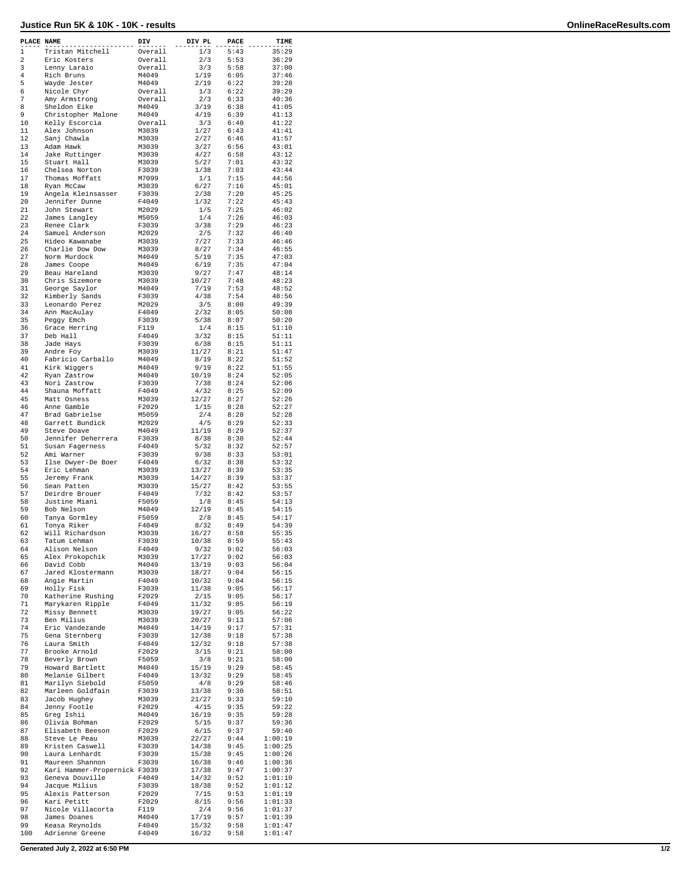## **Justice Run 5K & 10K - 10K - results OnlineRaceResults.com**

| PLACE NAME     |                              | DIV            | DIV PL | PACE | TIME    |
|----------------|------------------------------|----------------|--------|------|---------|
| $\mathbf 1$    | Tristan Mitchell             | Overall        | 1/3    | 5:43 | 35:29   |
| $\overline{a}$ | Eric Kosters                 | Overall        | 2/3    | 5:53 | 36:29   |
| 3              | Lenny Laraio                 | Overall        | 3/3    | 5:58 | 37:00   |
| 4              | Rich Bruns                   | M4049          | 1/19   | 6:05 | 37:46   |
| 5              | Wayde Jester                 | M4049          | 2/19   | 6:22 | 39:28   |
| 6              | Nicole Chyr                  | Overall        | 1/3    | 6:22 | 39:29   |
| 7              | Amy Armstrong                | Overall        | 2/3    | 6:33 | 40:36   |
| 8              | Sheldon Eike                 | M4049          | 3/19   | 6:38 | 41:05   |
| 9              | Christopher Malone           | M4049          | 4/19   | 6:39 | 41:13   |
| 10             | Kelly Escorcia               | Overall        | 3/3    | 6:40 | 41:22   |
| 11             | Alex Johnson                 | M3039          | 1/27   | 6:43 | 41:41   |
| 12             | Sanj Chawla                  | M3039          | 2/27   | 6:46 | 41:57   |
| 13             | Adam Hawk                    | M3039          | 3/27   | 6:56 | 43:01   |
| 14             | Jake Ruttinger               | M3039          | 4/27   | 6:58 | 43:12   |
| 15             | Stuart Hall                  | M3039          | 5/27   | 7:01 | 43:32   |
| 16             | Chelsea Norton               | F3039          | 1/38   | 7:03 | 43:44   |
| 17             | Thomas Moffatt               | M7099          | 1/1    | 7:15 | 44:56   |
| 18             | Ryan McCaw                   | M3039          | 6/27   | 7:16 | 45:01   |
| 19             | Angela Kleinsasser           | F3039          | 2/38   | 7:20 | 45:25   |
| 20             | Jennifer Dunne               | F4049          | 1/32   | 7:22 | 45:43   |
| 21             | John Stewart                 | M2029          | 1/5    | 7:25 | 46:02   |
| 22             | James Langley                | M5059          | 1/4    | 7:26 | 46:03   |
| 23             | Renee Clark                  | F3039          | 3/38   | 7:29 | 46:23   |
| 24             | Samuel Anderson              | M2029          | 2/5    | 7:32 | 46:40   |
| 25             | Hideo Kawanabe               | M3039          | 7/27   | 7:33 | 46:46   |
| 26             | Charlie Dow Dow              | M3039          | 8/27   | 7:34 | 46:55   |
| 27             | Norm Murdock                 | M4049          | 5/19   | 7:35 | 47:03   |
| 28             | James Coope                  | M4049          | 6/19   | 7:35 | 47:04   |
| 29             | Beau Hareland                | M3039          | 9/27   | 7:47 | 48:14   |
| 30             | Chris Sizemore               | M3039          | 10/27  | 7:48 | 48:23   |
| 31             | George Saylor                | M4049          | 7/19   | 7:53 | 48:52   |
| 32             | Kimberly Sands               | F3039          | 4/38   | 7:54 | 48:56   |
| 33             | Leonardo Perez               | M2029          | 3/5    | 8:00 | 49:39   |
| 34             | Ann MacAulay                 | F4049          | 2/32   | 8:05 | 50:08   |
| 35             | Peggy Emch                   | F3039          | 5/38   | 8:07 | 50:20   |
| 36             | Grace Herring                | F119           | 1/4    | 8:15 | 51:10   |
| 37             | Deb Hall                     | F4049          | 3/32   | 8:15 | 51:11   |
| 38             | Jade Hays                    | F3039          | 6/38   | 8:15 | 51:11   |
| 39             | Andre Foy                    | M3039          | 11/27  | 8:21 | 51:47   |
| 40             | Fabricio Carballo            | M4049          | 8/19   | 8:22 | 51:52   |
| 41             | Kirk Wiggers                 | M4049          | 9/19   | 8:22 | 51:55   |
| 42             | Ryan Zastrow                 | M4049          | 10/19  | 8:24 | 52:05   |
| 43             | Nori Zastrow                 | F3039          | 7/38   | 8:24 | 52:06   |
| 44             | Shauna Moffatt               | F4049          | 4/32   | 8:25 | 52:09   |
| 45             | Matt Osness                  | M3039          | 12/27  | 8:27 | 52:26   |
| 46             | Anne Gamble                  | F2029          | 1/15   | 8:28 | 52:27   |
| 47             | Brad Gabrielse               | M5059          | 2/4    | 8:28 | 52:28   |
| 48             | Garrett Bundick              | M2029          | 4/5    | 8:29 | 52:33   |
| 49             | Steve Doave                  | M4049          | 11/19  | 8:29 | 52:37   |
| 50             | Jennifer Deherrera           | F3039          | 8/38   | 8:30 | 52:44   |
| 51             | Susan Fagerness              | F4049          | 5/32   | 8:32 | 52:57   |
| 52             | Ami Warner                   | F3039          | 9/38   | 8:33 | 53:01   |
| 53             | Ilse Dwyer-De Boer           | F4049          | 6/32   | 8:38 | 53:32   |
| 54             | Eric Lehman                  | M3039          | 13/27  | 8:39 | 53:35   |
| 55             | Jeremy Frank                 | M3039          | 14/27  | 8:39 | 53:37   |
| 56             | Sean Patten                  | M3039          | 15/27  | 8:42 | 53:55   |
| 57             | Deirdre Brouer               | F4049          | 7/32   | 8:42 | 53:57   |
| 58             | Justine Miani                | F5059          | 1/8    | 8:45 | 54:13   |
| 59             | Bob Nelson                   | M4049          | 12/19  | 8:45 | 54:15   |
| 60             | Tanya Gormley                | F5059          | 2/8    | 8:45 | 54:17   |
| 61             | Tonya Riker                  | F4049          | 8/32   | 8:49 | 54:39   |
| 62             | Will Richardson              | M3039          | 16/27  | 8:58 | 55:35   |
| 63             | Tatum Lehman                 | F3039          | 10/38  | 8:59 | 55:43   |
| 64             | Alison Nelson                | F4049          | 9/32   | 9:02 | 56:03   |
| 65             | Alex Prokopchik              | M3039          | 17/27  | 9:02 | 56:03   |
| 66             | David Cobb                   | M4049          | 13/19  | 9:03 | 56:04   |
| 67             | Jared Klostermann            | M3039          | 18/27  | 9:04 | 56:15   |
| 68             | Angie Martin                 | F4049          | 10/32  | 9:04 | 56:15   |
| 69             | Holly Fisk                   | F3039          | 11/38  | 9:05 | 56:17   |
| 70             | Katherine Rushing            | F2029          | 2/15   | 9:05 | 56:17   |
| 71             | Marykaren Ripple             | F4049          | 11/32  | 9:05 | 56:19   |
| 72             | Missy Bennett                | M3039          | 19/27  | 9:05 | 56:22   |
| 73             | Ben Milius                   | M3039          | 20/27  | 9:13 | 57:06   |
| 74             | Eric Vandezande              | M4049          | 14/19  | 9:17 | 57:31   |
| 75             | Gena Sternberg               | F3039          | 12/38  | 9:18 | 57:38   |
| 76             | Laura Smith                  | F4049          | 12/32  | 9:18 | 57:38   |
| 77             | Brooke Arnold                | F2029          | 3/15   | 9:21 | 58:00   |
| 78             | Beverly Brown                | F5059          | 3/8    | 9:21 | 58:00   |
| 79             | Howard Bartlett              | M4049          | 15/19  | 9:29 | 58:45   |
| 80             | Melanie Gilbert              | F4049          | 13/32  | 9:29 | 58:45   |
| 81             | Marilyn Siebold              | F5059          | 4/8    | 9:29 | 58:46   |
| 82             | Marleen Goldfain             | F3039          | 13/38  | 9:30 | 58:51   |
| 83             | Jacob Hughey                 | M3039          | 21/27  | 9:33 | 59:10   |
| 84             | Jenny Footle                 | F2029          | 4/15   | 9:35 | 59:22   |
| 85             | Greg Ishii                   | M4049          | 16/19  | 9:35 | 59:28   |
| 86             | Olivia Bohman                | F2029          | 5/15   | 9:37 | 59:36   |
| 87             | Elisabeth Beeson             | F2029          | 6/15   | 9:37 | 59:40   |
| 88             | Steve Le Peau                | M3039          | 22/27  | 9:44 | 1:00:19 |
| 89             | Kristen Caswell              | F3039          | 14/38  | 9:45 | 1:00:25 |
| 90             | Laura Lenhardt               | F3039          | 15/38  | 9:45 | 1:00:26 |
| 91             | Maureen Shannon              | F3039          | 16/38  | 9:46 | 1:00:36 |
| 92             | Kari Hammer-Propernick F3039 |                | 17/38  | 9:47 | 1:00:37 |
| 93             | Geneva Douville              | F4049          | 14/32  | 9:52 | 1:01:10 |
| 94             | Jacque Milius                | F3039          | 18/38  | 9:52 | 1:01:12 |
| 95             | Alexis Patterson             |                | 7/15   | 9:53 | 1:01:19 |
| 96             | Kari Petitt                  | F2029<br>F2029 | 8/15   | 9:56 | 1:01:33 |
| 97             | Nicole Villacorta            | F119           | 2/4    | 9:56 | 1:01:37 |
| 98             | James Doanes                 | M4049          | 17/19  | 9:57 | 1:01:39 |
| 99             | Keasa Reynolds               | F4049          | 15/32  | 9:58 | 1:01:47 |
| 100            | Adrienne Greene              | F4049          | 16/32  | 9:58 | 1:01:47 |
|                |                              |                |        |      |         |

**Generated July 2, 2022 at 6:50 PM 1/2**